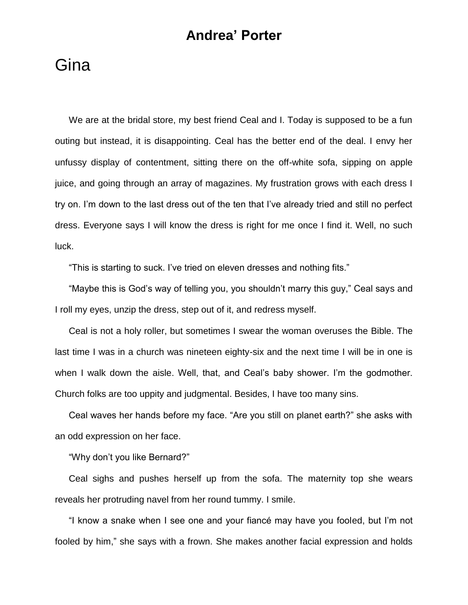# **Gina**

We are at the bridal store, my best friend Ceal and I. Today is supposed to be a fun outing but instead, it is disappointing. Ceal has the better end of the deal. I envy her unfussy display of contentment, sitting there on the off-white sofa, sipping on apple juice, and going through an array of magazines. My frustration grows with each dress I try on. I'm down to the last dress out of the ten that I've already tried and still no perfect dress. Everyone says I will know the dress is right for me once I find it. Well, no such luck.

"This is starting to suck. I've tried on eleven dresses and nothing fits."

"Maybe this is God's way of telling you, you shouldn't marry this guy," Ceal says and I roll my eyes, unzip the dress, step out of it, and redress myself.

Ceal is not a holy roller, but sometimes I swear the woman overuses the Bible. The last time I was in a church was nineteen eighty-six and the next time I will be in one is when I walk down the aisle. Well, that, and Ceal's baby shower. I'm the godmother. Church folks are too uppity and judgmental. Besides, I have too many sins.

Ceal waves her hands before my face. "Are you still on planet earth?" she asks with an odd expression on her face.

"Why don't you like Bernard?"

Ceal sighs and pushes herself up from the sofa. The maternity top she wears reveals her protruding navel from her round tummy. I smile.

"I know a snake when I see one and your fiancé may have you fooled, but I'm not fooled by him," she says with a frown. She makes another facial expression and holds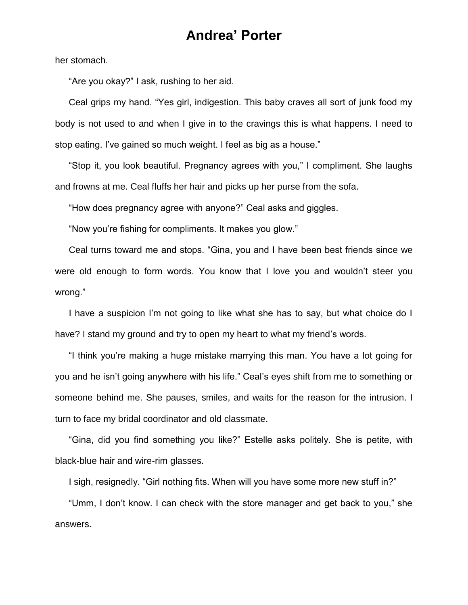her stomach.

"Are you okay?" I ask, rushing to her aid.

Ceal grips my hand. "Yes girl, indigestion. This baby craves all sort of junk food my body is not used to and when I give in to the cravings this is what happens. I need to stop eating. I've gained so much weight. I feel as big as a house."

"Stop it, you look beautiful. Pregnancy agrees with you," I compliment. She laughs and frowns at me. Ceal fluffs her hair and picks up her purse from the sofa.

"How does pregnancy agree with anyone?" Ceal asks and giggles.

"Now you're fishing for compliments. It makes you glow."

Ceal turns toward me and stops. "Gina, you and I have been best friends since we were old enough to form words. You know that I love you and wouldn't steer you wrong."

I have a suspicion I'm not going to like what she has to say, but what choice do I have? I stand my ground and try to open my heart to what my friend's words.

"I think you're making a huge mistake marrying this man. You have a lot going for you and he isn't going anywhere with his life." Ceal's eyes shift from me to something or someone behind me. She pauses, smiles, and waits for the reason for the intrusion. I turn to face my bridal coordinator and old classmate.

"Gina, did you find something you like?" Estelle asks politely. She is petite, with black-blue hair and wire-rim glasses.

I sigh, resignedly. "Girl nothing fits. When will you have some more new stuff in?"

"Umm, I don't know. I can check with the store manager and get back to you," she answers.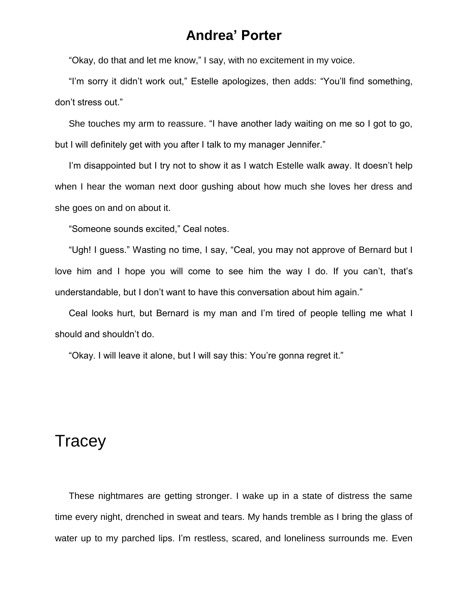"Okay, do that and let me know," I say, with no excitement in my voice.

"I'm sorry it didn't work out," Estelle apologizes, then adds: "You'll find something, don't stress out."

She touches my arm to reassure. "I have another lady waiting on me so I got to go, but I will definitely get with you after I talk to my manager Jennifer."

I'm disappointed but I try not to show it as I watch Estelle walk away. It doesn't help when I hear the woman next door gushing about how much she loves her dress and she goes on and on about it.

"Someone sounds excited," Ceal notes.

"Ugh! I guess." Wasting no time, I say, "Ceal, you may not approve of Bernard but I love him and I hope you will come to see him the way I do. If you can't, that's understandable, but I don't want to have this conversation about him again."

Ceal looks hurt, but Bernard is my man and I'm tired of people telling me what I should and shouldn't do.

"Okay. I will leave it alone, but I will say this: You're gonna regret it."

# **Tracey**

These nightmares are getting stronger. I wake up in a state of distress the same time every night, drenched in sweat and tears. My hands tremble as I bring the glass of water up to my parched lips. I'm restless, scared, and loneliness surrounds me. Even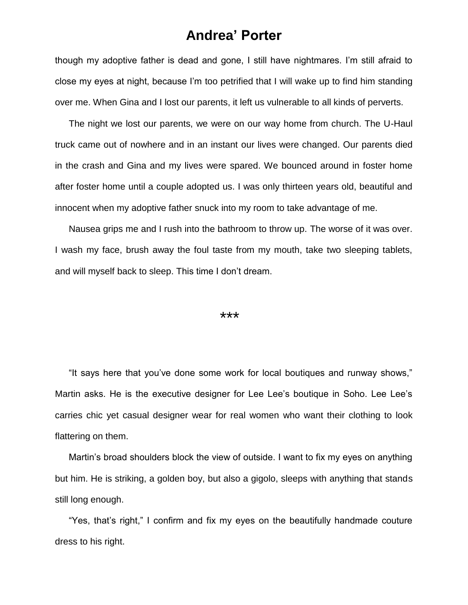though my adoptive father is dead and gone, I still have nightmares. I'm still afraid to close my eyes at night, because I'm too petrified that I will wake up to find him standing over me. When Gina and I lost our parents, it left us vulnerable to all kinds of perverts.

The night we lost our parents, we were on our way home from church. The U-Haul truck came out of nowhere and in an instant our lives were changed. Our parents died in the crash and Gina and my lives were spared. We bounced around in foster home after foster home until a couple adopted us. I was only thirteen years old, beautiful and innocent when my adoptive father snuck into my room to take advantage of me.

Nausea grips me and I rush into the bathroom to throw up. The worse of it was over. I wash my face, brush away the foul taste from my mouth, take two sleeping tablets, and will myself back to sleep. This time I don't dream.

#### \*\*\*

"It says here that you've done some work for local boutiques and runway shows," Martin asks. He is the executive designer for Lee Lee's boutique in Soho. Lee Lee's carries chic yet casual designer wear for real women who want their clothing to look flattering on them.

Martin's broad shoulders block the view of outside. I want to fix my eyes on anything but him. He is striking, a golden boy, but also a gigolo, sleeps with anything that stands still long enough.

"Yes, that's right," I confirm and fix my eyes on the beautifully handmade couture dress to his right.